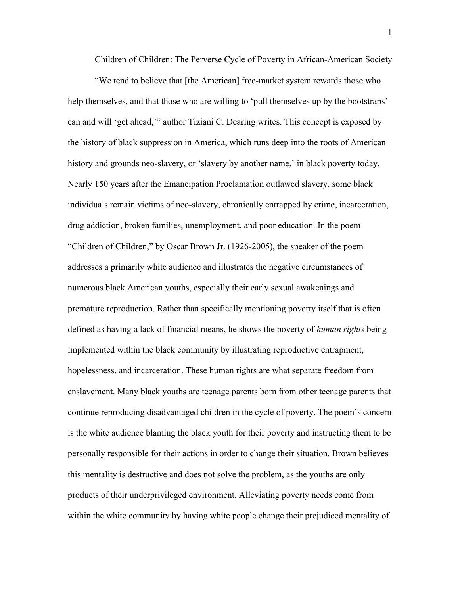Children of Children: The Perverse Cycle of Poverty in African-American Society

"We tend to believe that [the American] free-market system rewards those who help themselves, and that those who are willing to 'pull themselves up by the bootstraps' can and will 'get ahead,'" author Tiziani C. Dearing writes. This concept is exposed by the history of black suppression in America, which runs deep into the roots of American history and grounds neo-slavery, or 'slavery by another name,' in black poverty today. Nearly 150 years after the Emancipation Proclamation outlawed slavery, some black individuals remain victims of neo-slavery, chronically entrapped by crime, incarceration, drug addiction, broken families, unemployment, and poor education. In the poem "Children of Children," by Oscar Brown Jr. (1926-2005), the speaker of the poem addresses a primarily white audience and illustrates the negative circumstances of numerous black American youths, especially their early sexual awakenings and premature reproduction. Rather than specifically mentioning poverty itself that is often defined as having a lack of financial means, he shows the poverty of *human rights* being implemented within the black community by illustrating reproductive entrapment, hopelessness, and incarceration. These human rights are what separate freedom from enslavement. Many black youths are teenage parents born from other teenage parents that continue reproducing disadvantaged children in the cycle of poverty. The poem's concern is the white audience blaming the black youth for their poverty and instructing them to be personally responsible for their actions in order to change their situation. Brown believes this mentality is destructive and does not solve the problem, as the youths are only products of their underprivileged environment. Alleviating poverty needs come from within the white community by having white people change their prejudiced mentality of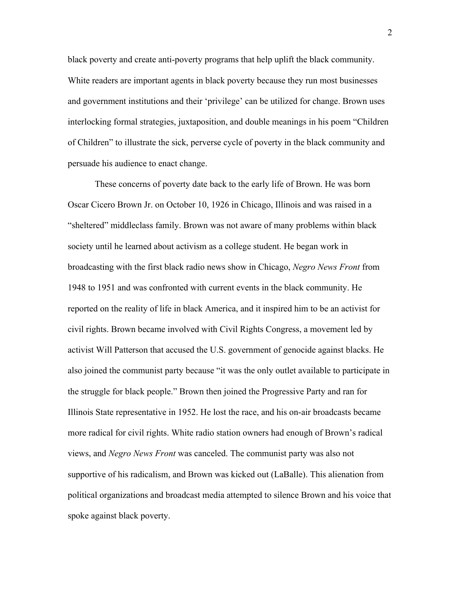black poverty and create anti-poverty programs that help uplift the black community. White readers are important agents in black poverty because they run most businesses and government institutions and their 'privilege' can be utilized for change. Brown uses interlocking formal strategies, juxtaposition, and double meanings in his poem "Children of Children" to illustrate the sick, perverse cycle of poverty in the black community and persuade his audience to enact change.

These concerns of poverty date back to the early life of Brown. He was born Oscar Cicero Brown Jr. on October 10, 1926 in Chicago, Illinois and was raised in a "sheltered" middleclass family. Brown was not aware of many problems within black society until he learned about activism as a college student. He began work in broadcasting with the first black radio news show in Chicago, *Negro News Front* from 1948 to 1951 and was confronted with current events in the black community. He reported on the reality of life in black America, and it inspired him to be an activist for civil rights. Brown became involved with Civil Rights Congress, a movement led by activist Will Patterson that accused the U.S. government of genocide against blacks. He also joined the communist party because "it was the only outlet available to participate in the struggle for black people." Brown then joined the Progressive Party and ran for Illinois State representative in 1952. He lost the race, and his on-air broadcasts became more radical for civil rights. White radio station owners had enough of Brown's radical views, and *Negro News Front* was canceled. The communist party was also not supportive of his radicalism, and Brown was kicked out (LaBalle). This alienation from political organizations and broadcast media attempted to silence Brown and his voice that spoke against black poverty.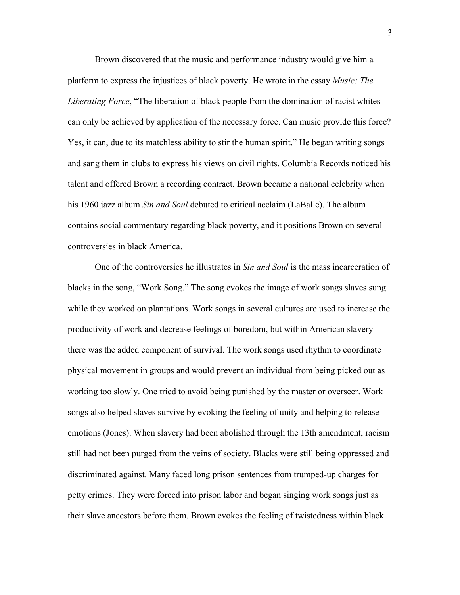Brown discovered that the music and performance industry would give him a platform to express the injustices of black poverty. He wrote in the essay *Music: The Liberating Force*, "The liberation of black people from the domination of racist whites can only be achieved by application of the necessary force. Can music provide this force? Yes, it can, due to its matchless ability to stir the human spirit." He began writing songs and sang them in clubs to express his views on civil rights. Columbia Records noticed his talent and offered Brown a recording contract. Brown became a national celebrity when his 1960 jazz album *Sin and Soul* debuted to critical acclaim (LaBalle). The album contains social commentary regarding black poverty, and it positions Brown on several controversies in black America.

One of the controversies he illustrates in *Sin and Soul* is the mass incarceration of blacks in the song, "Work Song." The song evokes the image of work songs slaves sung while they worked on plantations. Work songs in several cultures are used to increase the productivity of work and decrease feelings of boredom, but within American slavery there was the added component of survival. The work songs used rhythm to coordinate physical movement in groups and would prevent an individual from being picked out as working too slowly. One tried to avoid being punished by the master or overseer. Work songs also helped slaves survive by evoking the feeling of unity and helping to release emotions (Jones). When slavery had been abolished through the 13th amendment, racism still had not been purged from the veins of society. Blacks were still being oppressed and discriminated against. Many faced long prison sentences from trumped-up charges for petty crimes. They were forced into prison labor and began singing work songs just as their slave ancestors before them. Brown evokes the feeling of twistedness within black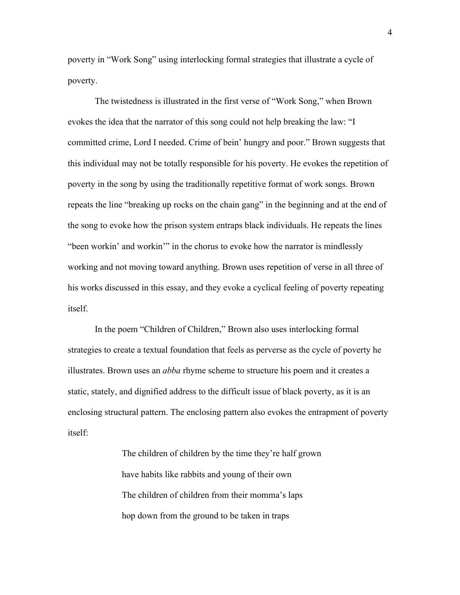poverty in "Work Song" using interlocking formal strategies that illustrate a cycle of poverty.

The twistedness is illustrated in the first verse of "Work Song," when Brown evokes the idea that the narrator of this song could not help breaking the law: "I committed crime, Lord I needed. Crime of bein' hungry and poor." Brown suggests that this individual may not be totally responsible for his poverty. He evokes the repetition of poverty in the song by using the traditionally repetitive format of work songs. Brown repeats the line "breaking up rocks on the chain gang" in the beginning and at the end of the song to evoke how the prison system entraps black individuals. He repeats the lines "been workin' and workin'" in the chorus to evoke how the narrator is mindlessly working and not moving toward anything. Brown uses repetition of verse in all three of his works discussed in this essay, and they evoke a cyclical feeling of poverty repeating itself.

In the poem "Children of Children," Brown also uses interlocking formal strategies to create a textual foundation that feels as perverse as the cycle of poverty he illustrates. Brown uses an *abba* rhyme scheme to structure his poem and it creates a static, stately, and dignified address to the difficult issue of black poverty, as it is an enclosing structural pattern. The enclosing pattern also evokes the entrapment of poverty itself:

> The children of children by the time they're half grown have habits like rabbits and young of their own The children of children from their momma's laps hop down from the ground to be taken in traps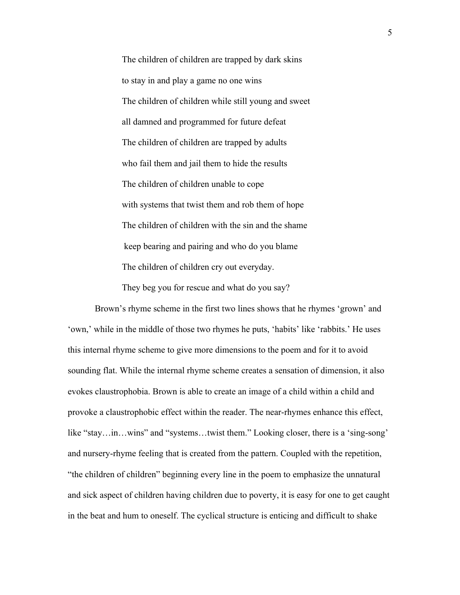The children of children are trapped by dark skins to stay in and play a game no one wins The children of children while still young and sweet all damned and programmed for future defeat The children of children are trapped by adults who fail them and jail them to hide the results The children of children unable to cope with systems that twist them and rob them of hope The children of children with the sin and the shame keep bearing and pairing and who do you blame The children of children cry out everyday.

They beg you for rescue and what do you say?

Brown's rhyme scheme in the first two lines shows that he rhymes 'grown' and 'own,' while in the middle of those two rhymes he puts, 'habits' like 'rabbits.' He uses this internal rhyme scheme to give more dimensions to the poem and for it to avoid sounding flat. While the internal rhyme scheme creates a sensation of dimension, it also evokes claustrophobia. Brown is able to create an image of a child within a child and provoke a claustrophobic effect within the reader. The near-rhymes enhance this effect, like "stay…in…wins" and "systems…twist them." Looking closer, there is a 'sing-song' and nursery-rhyme feeling that is created from the pattern. Coupled with the repetition, "the children of children" beginning every line in the poem to emphasize the unnatural and sick aspect of children having children due to poverty, it is easy for one to get caught in the beat and hum to oneself. The cyclical structure is enticing and difficult to shake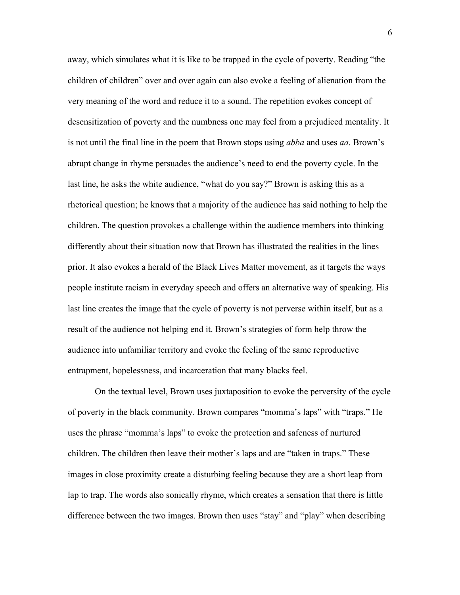away, which simulates what it is like to be trapped in the cycle of poverty. Reading "the children of children" over and over again can also evoke a feeling of alienation from the very meaning of the word and reduce it to a sound. The repetition evokes concept of desensitization of poverty and the numbness one may feel from a prejudiced mentality. It is not until the final line in the poem that Brown stops using *abba* and uses *aa*. Brown's abrupt change in rhyme persuades the audience's need to end the poverty cycle. In the last line, he asks the white audience, "what do you say?" Brown is asking this as a rhetorical question; he knows that a majority of the audience has said nothing to help the children. The question provokes a challenge within the audience members into thinking differently about their situation now that Brown has illustrated the realities in the lines prior. It also evokes a herald of the Black Lives Matter movement, as it targets the ways people institute racism in everyday speech and offers an alternative way of speaking. His last line creates the image that the cycle of poverty is not perverse within itself, but as a result of the audience not helping end it. Brown's strategies of form help throw the audience into unfamiliar territory and evoke the feeling of the same reproductive entrapment, hopelessness, and incarceration that many blacks feel.

On the textual level, Brown uses juxtaposition to evoke the perversity of the cycle of poverty in the black community. Brown compares "momma's laps" with "traps." He uses the phrase "momma's laps" to evoke the protection and safeness of nurtured children. The children then leave their mother's laps and are "taken in traps." These images in close proximity create a disturbing feeling because they are a short leap from lap to trap. The words also sonically rhyme, which creates a sensation that there is little difference between the two images. Brown then uses "stay" and "play" when describing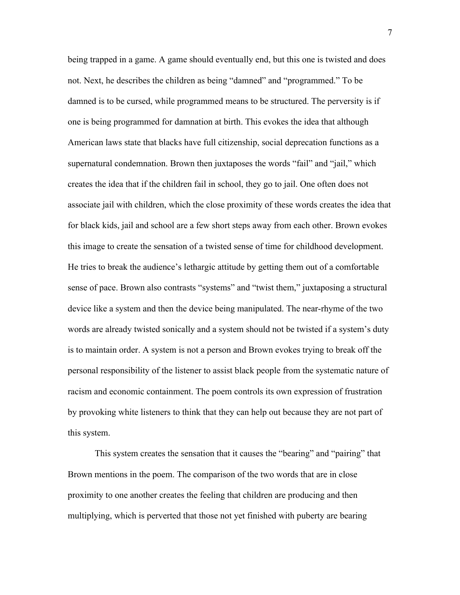being trapped in a game. A game should eventually end, but this one is twisted and does not. Next, he describes the children as being "damned" and "programmed." To be damned is to be cursed, while programmed means to be structured. The perversity is if one is being programmed for damnation at birth. This evokes the idea that although American laws state that blacks have full citizenship, social deprecation functions as a supernatural condemnation. Brown then juxtaposes the words "fail" and "jail," which creates the idea that if the children fail in school, they go to jail. One often does not associate jail with children, which the close proximity of these words creates the idea that for black kids, jail and school are a few short steps away from each other. Brown evokes this image to create the sensation of a twisted sense of time for childhood development. He tries to break the audience's lethargic attitude by getting them out of a comfortable sense of pace. Brown also contrasts "systems" and "twist them," juxtaposing a structural device like a system and then the device being manipulated. The near-rhyme of the two words are already twisted sonically and a system should not be twisted if a system's duty is to maintain order. A system is not a person and Brown evokes trying to break off the personal responsibility of the listener to assist black people from the systematic nature of racism and economic containment. The poem controls its own expression of frustration by provoking white listeners to think that they can help out because they are not part of this system.

This system creates the sensation that it causes the "bearing" and "pairing" that Brown mentions in the poem. The comparison of the two words that are in close proximity to one another creates the feeling that children are producing and then multiplying, which is perverted that those not yet finished with puberty are bearing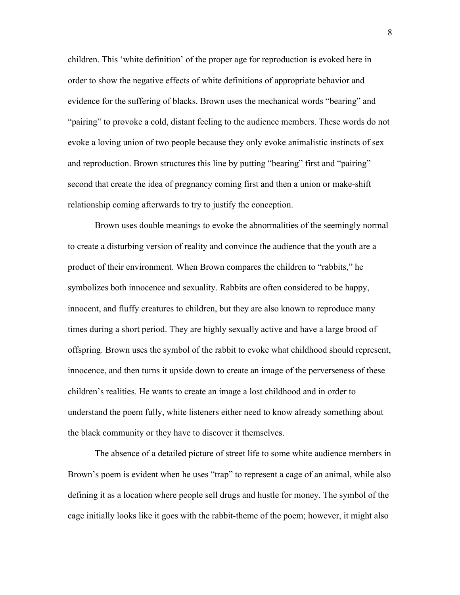children. This 'white definition' of the proper age for reproduction is evoked here in order to show the negative effects of white definitions of appropriate behavior and evidence for the suffering of blacks. Brown uses the mechanical words "bearing" and "pairing" to provoke a cold, distant feeling to the audience members. These words do not evoke a loving union of two people because they only evoke animalistic instincts of sex and reproduction. Brown structures this line by putting "bearing" first and "pairing" second that create the idea of pregnancy coming first and then a union or make-shift relationship coming afterwards to try to justify the conception.

Brown uses double meanings to evoke the abnormalities of the seemingly normal to create a disturbing version of reality and convince the audience that the youth are a product of their environment. When Brown compares the children to "rabbits," he symbolizes both innocence and sexuality. Rabbits are often considered to be happy, innocent, and fluffy creatures to children, but they are also known to reproduce many times during a short period. They are highly sexually active and have a large brood of offspring. Brown uses the symbol of the rabbit to evoke what childhood should represent, innocence, and then turns it upside down to create an image of the perverseness of these children's realities. He wants to create an image a lost childhood and in order to understand the poem fully, white listeners either need to know already something about the black community or they have to discover it themselves.

The absence of a detailed picture of street life to some white audience members in Brown's poem is evident when he uses "trap" to represent a cage of an animal, while also defining it as a location where people sell drugs and hustle for money. The symbol of the cage initially looks like it goes with the rabbit-theme of the poem; however, it might also

8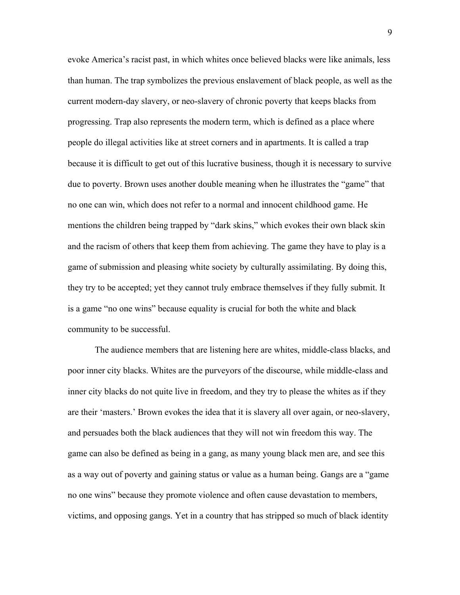evoke America's racist past, in which whites once believed blacks were like animals, less than human. The trap symbolizes the previous enslavement of black people, as well as the current modern-day slavery, or neo-slavery of chronic poverty that keeps blacks from progressing. Trap also represents the modern term, which is defined as a place where people do illegal activities like at street corners and in apartments. It is called a trap because it is difficult to get out of this lucrative business, though it is necessary to survive due to poverty. Brown uses another double meaning when he illustrates the "game" that no one can win, which does not refer to a normal and innocent childhood game. He mentions the children being trapped by "dark skins," which evokes their own black skin and the racism of others that keep them from achieving. The game they have to play is a game of submission and pleasing white society by culturally assimilating. By doing this, they try to be accepted; yet they cannot truly embrace themselves if they fully submit. It is a game "no one wins" because equality is crucial for both the white and black community to be successful.

The audience members that are listening here are whites, middle-class blacks, and poor inner city blacks. Whites are the purveyors of the discourse, while middle-class and inner city blacks do not quite live in freedom, and they try to please the whites as if they are their 'masters.' Brown evokes the idea that it is slavery all over again, or neo-slavery, and persuades both the black audiences that they will not win freedom this way. The game can also be defined as being in a gang, as many young black men are, and see this as a way out of poverty and gaining status or value as a human being. Gangs are a "game no one wins" because they promote violence and often cause devastation to members, victims, and opposing gangs. Yet in a country that has stripped so much of black identity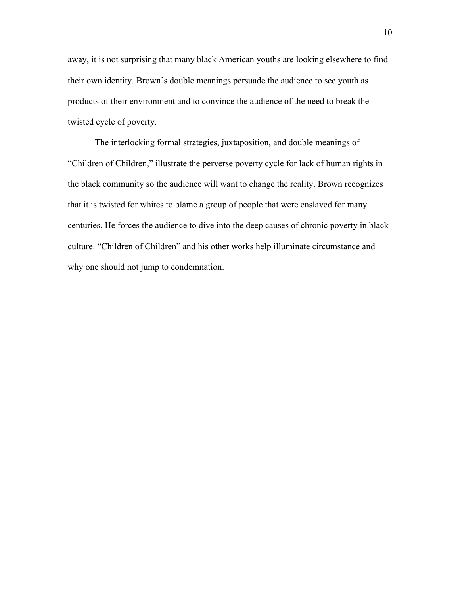away, it is not surprising that many black American youths are looking elsewhere to find their own identity. Brown's double meanings persuade the audience to see youth as products of their environment and to convince the audience of the need to break the twisted cycle of poverty.

The interlocking formal strategies, juxtaposition, and double meanings of "Children of Children," illustrate the perverse poverty cycle for lack of human rights in the black community so the audience will want to change the reality. Brown recognizes that it is twisted for whites to blame a group of people that were enslaved for many centuries. He forces the audience to dive into the deep causes of chronic poverty in black culture. "Children of Children" and his other works help illuminate circumstance and why one should not jump to condemnation.